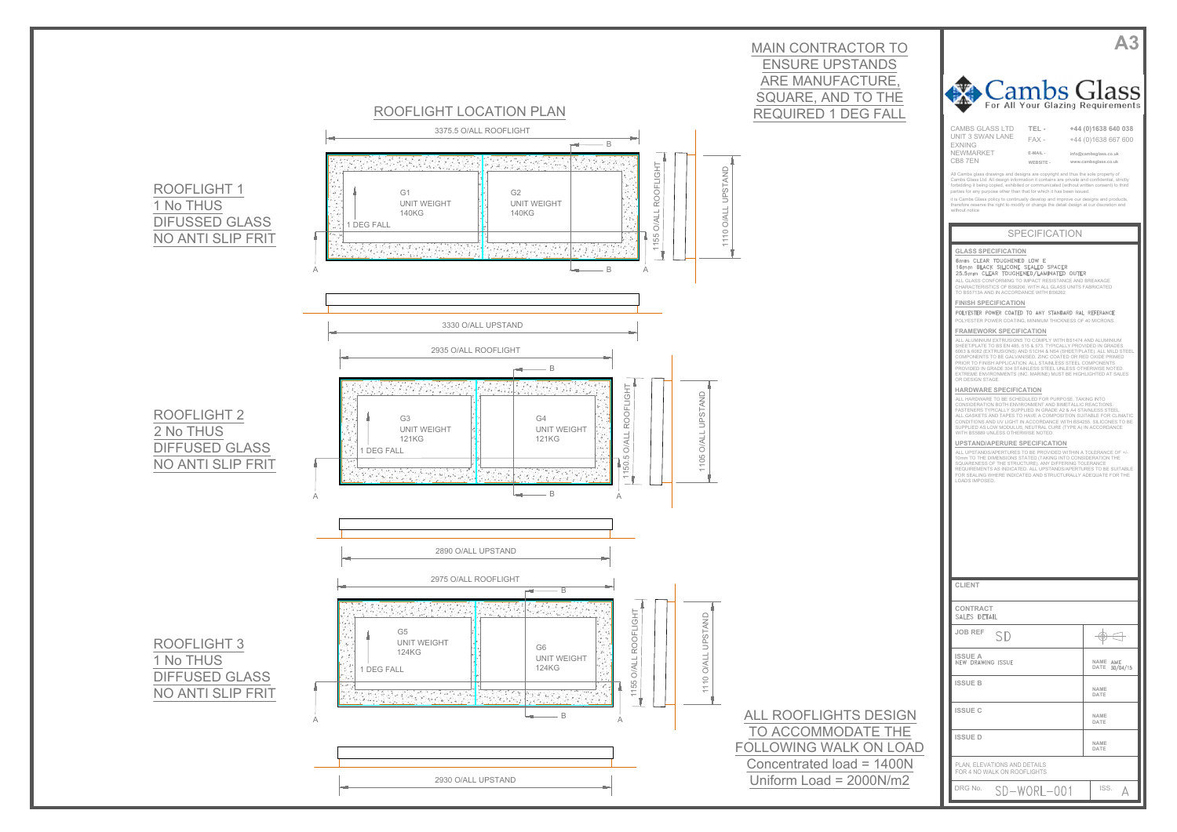

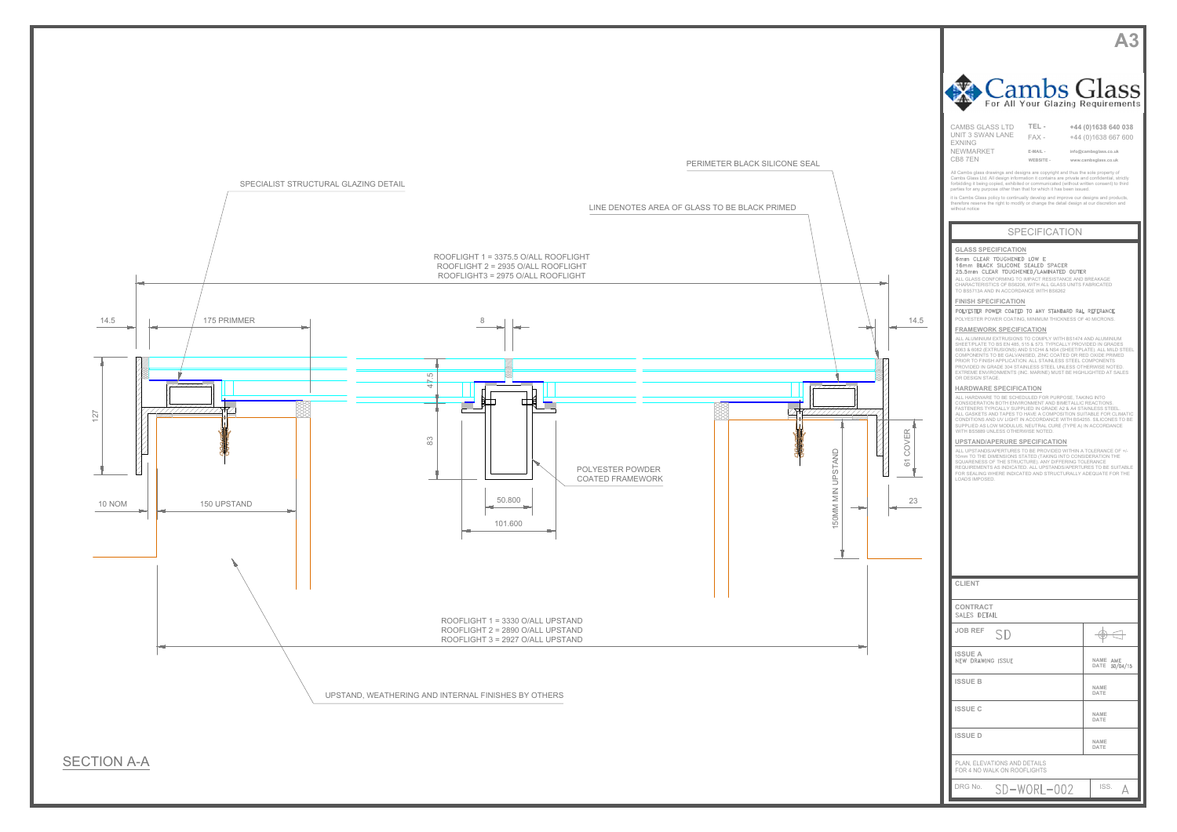







| $\Box$ dil<br>LUS<br>For All Your Glazing Requirements                                                                                                                                                                                                                                                                                                                                                                                                                                                                                                                                                                                                                                                                                                                                                                                                                                                                                                                                                                                                                                                                                                                                                                                                                                                                                                                                                                                                                                                                                                                                                                                                                                                                                                                                                                                                               | <b>C</b> LIDS                                                                               |  |
|----------------------------------------------------------------------------------------------------------------------------------------------------------------------------------------------------------------------------------------------------------------------------------------------------------------------------------------------------------------------------------------------------------------------------------------------------------------------------------------------------------------------------------------------------------------------------------------------------------------------------------------------------------------------------------------------------------------------------------------------------------------------------------------------------------------------------------------------------------------------------------------------------------------------------------------------------------------------------------------------------------------------------------------------------------------------------------------------------------------------------------------------------------------------------------------------------------------------------------------------------------------------------------------------------------------------------------------------------------------------------------------------------------------------------------------------------------------------------------------------------------------------------------------------------------------------------------------------------------------------------------------------------------------------------------------------------------------------------------------------------------------------------------------------------------------------------------------------------------------------|---------------------------------------------------------------------------------------------|--|
| <b>CAMBS GLASS LTD</b><br>TEL-<br>UNIT 3 SWAN LANE<br>$FAX -$<br><b>FXNING</b><br>NEWMARKET<br>E-MAIL -<br>CB87EN<br>WEBSITE -                                                                                                                                                                                                                                                                                                                                                                                                                                                                                                                                                                                                                                                                                                                                                                                                                                                                                                                                                                                                                                                                                                                                                                                                                                                                                                                                                                                                                                                                                                                                                                                                                                                                                                                                       | +44 (0)1638 640 038<br>+44 (0)1638 667 600<br>info@cambsglass.co.uk<br>www.cambsglass.co.uk |  |
| All Cambs glass drawings and designs are copyright and thus the sole property of<br>Cambs Glass Ltd. All design information it contains are private and confidential, strictly<br>forbidding it being copied, exhibited or communicated (without written consent) to third<br>parties for any purpose other than that for which it has been issued.<br>it is Cambs Glass policy to continually develop and improve our designs and products,<br>therefore reserve the right to modify or change the detail design at our discretion and<br>without notice                                                                                                                                                                                                                                                                                                                                                                                                                                                                                                                                                                                                                                                                                                                                                                                                                                                                                                                                                                                                                                                                                                                                                                                                                                                                                                            |                                                                                             |  |
| <b>SPECIFICATION</b>                                                                                                                                                                                                                                                                                                                                                                                                                                                                                                                                                                                                                                                                                                                                                                                                                                                                                                                                                                                                                                                                                                                                                                                                                                                                                                                                                                                                                                                                                                                                                                                                                                                                                                                                                                                                                                                 |                                                                                             |  |
| <b>GLASS SPECIFICATION</b><br>6mm CLEAR TOUGHENED LOW E<br>16mm BLACK SILICONE SEALED SPACER<br>25.5mm CLEAR TOUGHENED/LAMINATED OUTER<br>ALL GLASS CONFORMING TO IMPACT RESISTANCE AND BREAKAGE<br>CHARACTERISTICS OF BS6206, WITH ALL GLASS UNITS FABRICATED<br>TO BS5713A AND IN ACCORDANCE WITH BS6262<br><b>FINISH SPECIFICATION</b><br>POLYESTER POWER COATED TO ANY STANDARD RAL REFERANCE<br>POLYESTER POWER COATING, MINIMUM THICKNESS OF 40 MICRONS.<br><b>FRAMEWORK SPECIFICATION</b><br>ALL ALUMINIUM EXTRUSIONS TO COMPLY WITH BS1474 AND ALUMINIUM<br>SHEET/PLATE TO BS EN 485, 515 & 573. TYPICALLY PROVIDED IN GRADES<br>6063 & 6082 (EXTRUSIONS) AND S1CH4 & NS4 (SHEET/PLATE). ALL MILD STEEL<br>COMPONENTS TO BE GALVANISED, ZINC COATED OR RED OXIDE PRIMED<br>PRIOR TO FINISH APPLICATION. ALL STAINLESS STEEL COMPONENTS<br>PROVIDED IN GRADE 304 STAINLESS STEEL UNLESS OTHERWISE NOTED.<br>EXTREME ENVIRONMENTS (INC. MARINE) MUST BE HIGHLIGHTED AT SALES<br>OR DESIGN STAGE.<br><b>HARDWARE SPECIFICATION</b><br>ALL HARDWARE TO BE SCHEDULED FOR PURPOSE, TAKING INTO<br>CONSIDERATION BOTH ENVIRONMENT AND BIMETALLIC REACTIONS.<br>FASTENERS TYPICALLY SUPPLIED IN GRADE A2 & A4 STAINLESS STEEL.<br>ALL GASKETS AND TAPES TO HAVE A COMPOSITION SUITABLE FOR CLIMATIC<br>CONDITIONS AND UV LIGHT IN ACCORDANCE WITH BS4255. SILICONES TO BE<br>SUPPLIED AS LOW MODULUS, NEUTRAL CURE (TYPE A) IN ACCORDANCE<br>WITH BS5889 UNLESS OTHERWISE NOTED.<br>UPSTAND/APERURE SPECIFICATION<br>ALL UPSTANDS/APERTURES TO BE PROVIDED WITHIN A TOLERANCE OF +/-<br>10mm TO THE DIMENSIONS STATED (TAKING INTO CONSIDERATION THE<br>SQUARENESS OF THE STRUCTURE). ANY DIFFERING TOLERANCE<br>REQUIREMENTS AS INDICATED. ALL UPSTANDS/APERTURES TO BE SUITABLE<br>FOR SEALING WHERE INDICATED AND STRUCTURALLY ADEQUATE FOR THE<br>LOADS IMPOSED. |                                                                                             |  |
| <b>CLIENT</b>                                                                                                                                                                                                                                                                                                                                                                                                                                                                                                                                                                                                                                                                                                                                                                                                                                                                                                                                                                                                                                                                                                                                                                                                                                                                                                                                                                                                                                                                                                                                                                                                                                                                                                                                                                                                                                                        |                                                                                             |  |
| <b>CONTRACT</b><br>SALES DETAIL                                                                                                                                                                                                                                                                                                                                                                                                                                                                                                                                                                                                                                                                                                                                                                                                                                                                                                                                                                                                                                                                                                                                                                                                                                                                                                                                                                                                                                                                                                                                                                                                                                                                                                                                                                                                                                      |                                                                                             |  |
| <b>JOB REF</b><br>SD                                                                                                                                                                                                                                                                                                                                                                                                                                                                                                                                                                                                                                                                                                                                                                                                                                                                                                                                                                                                                                                                                                                                                                                                                                                                                                                                                                                                                                                                                                                                                                                                                                                                                                                                                                                                                                                 | Θ.                                                                                          |  |
| ISSUE A<br>NEW DRAWING ISSUE                                                                                                                                                                                                                                                                                                                                                                                                                                                                                                                                                                                                                                                                                                                                                                                                                                                                                                                                                                                                                                                                                                                                                                                                                                                                                                                                                                                                                                                                                                                                                                                                                                                                                                                                                                                                                                         | NAME AME<br>DATE 30/04/15                                                                   |  |
| <b>ISSUE B</b>                                                                                                                                                                                                                                                                                                                                                                                                                                                                                                                                                                                                                                                                                                                                                                                                                                                                                                                                                                                                                                                                                                                                                                                                                                                                                                                                                                                                                                                                                                                                                                                                                                                                                                                                                                                                                                                       | NAME<br>DATE                                                                                |  |
| <b>ISSUE C</b>                                                                                                                                                                                                                                                                                                                                                                                                                                                                                                                                                                                                                                                                                                                                                                                                                                                                                                                                                                                                                                                                                                                                                                                                                                                                                                                                                                                                                                                                                                                                                                                                                                                                                                                                                                                                                                                       | NAME<br>DATE                                                                                |  |
| <b>ISSUED</b>                                                                                                                                                                                                                                                                                                                                                                                                                                                                                                                                                                                                                                                                                                                                                                                                                                                                                                                                                                                                                                                                                                                                                                                                                                                                                                                                                                                                                                                                                                                                                                                                                                                                                                                                                                                                                                                        | <b>NAME</b><br>DATE                                                                         |  |
| PLAN, ELEVATIONS AND DETAILS<br>FOR 4 NO WALK ON ROOFLIGHTS                                                                                                                                                                                                                                                                                                                                                                                                                                                                                                                                                                                                                                                                                                                                                                                                                                                                                                                                                                                                                                                                                                                                                                                                                                                                                                                                                                                                                                                                                                                                                                                                                                                                                                                                                                                                          |                                                                                             |  |
| DRG No.<br>SD-WORL-002                                                                                                                                                                                                                                                                                                                                                                                                                                                                                                                                                                                                                                                                                                                                                                                                                                                                                                                                                                                                                                                                                                                                                                                                                                                                                                                                                                                                                                                                                                                                                                                                                                                                                                                                                                                                                                               | ISS.                                                                                        |  |

61 COVER